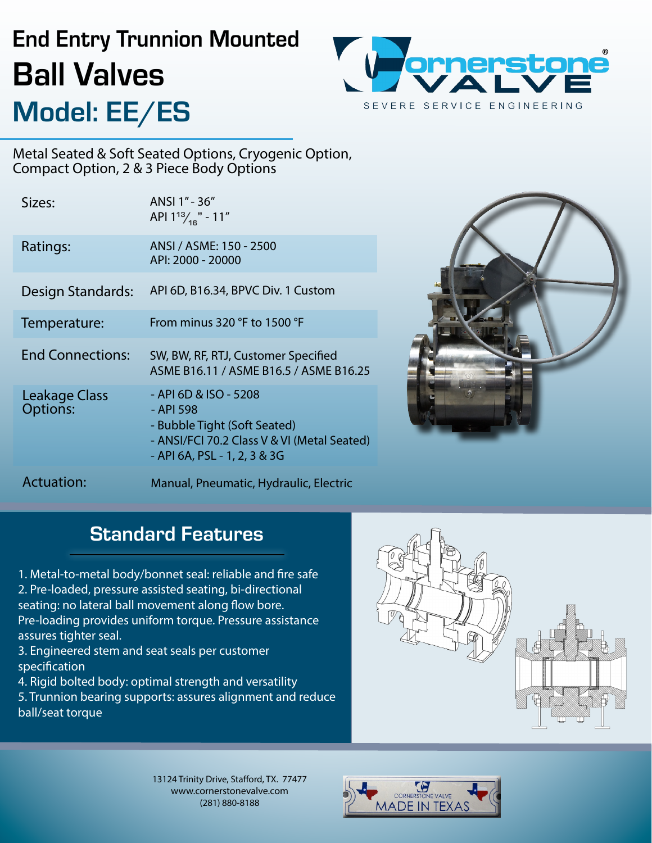## End Entry Trunnion Mounted Ball Valves Model: EE/ES



Metal Seated & Soft Seated Options, Cryogenic Option, Compact Option, 2 & 3 Piece Body Options

| Sizes:                                  | ANSI 1" - 36"<br>API $1^{13}$ / <sub>16</sub> $-11$ <sup>"</sup>                                                                                  |
|-----------------------------------------|---------------------------------------------------------------------------------------------------------------------------------------------------|
| Ratings:                                | ANSI / ASME: 150 - 2500<br>API: 2000 - 20000                                                                                                      |
| Design Standards:                       | API 6D, B16.34, BPVC Div. 1 Custom                                                                                                                |
| Temperature:                            | From minus 320 °F to 1500 °F                                                                                                                      |
|                                         |                                                                                                                                                   |
| <b>End Connections:</b>                 | SW, BW, RF, RTJ, Customer Specified<br>ASME B16.11 / ASME B16.5 / ASME B16.25                                                                     |
| <b>Leakage Class</b><br><b>Options:</b> | - API 6D & ISO - 5208<br>- API 598<br>- Bubble Tight (Soft Seated)<br>- ANSI/FCI 70.2 Class V & VI (Metal Seated)<br>- API 6A, PSL - 1, 2, 3 & 3G |



### **Standard Features**

1. Metal-to-metal body/bonnet seal: reliable and fire safe 2. Pre-loaded, pressure assisted seating, bi-directional seating: no lateral ball movement along flow bore. Pre-loading provides uniform torque. Pressure assistance assures tighter seal.

3. Engineered stem and seat seals per customer specification

4. Rigid bolted body: optimal strength and versatility

5. Trunnion bearing supports: assures alignment and reduce ball/seat torque



13124 Trinity Drive, Stafford, TX. 77477 www.cornerstonevalve.com (281) 880-8188